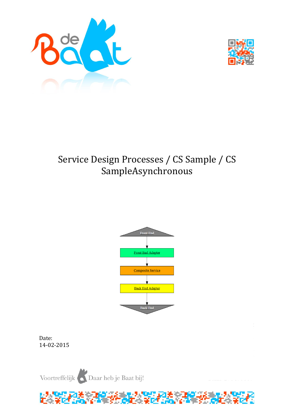



# Service Design Processes / CS Sample / CS SampleAsynchronous



Date: 14-02-2015

Voortreffelijk Daar heb je Baat bij!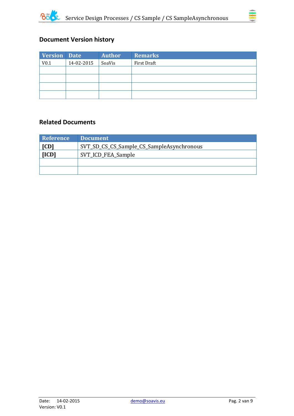



# **Document Version history**

| <b>Version Date</b> |            | <b>Author</b> | <b>Remarks</b> |
|---------------------|------------|---------------|----------------|
| V <sub>0.1</sub>    | 14-02-2015 | SoaVis        | First Draft    |
|                     |            |               |                |
|                     |            |               |                |
|                     |            |               |                |
|                     |            |               |                |

### **Related Documents**

| <b>Reference</b>            | <b>Document</b>                           |
|-----------------------------|-------------------------------------------|
| [CD]                        | SVT_SD_CS_CS_Sample_CS_SampleAsynchronous |
| [ICD]<br>SVT_ICD_FEA_Sample |                                           |
|                             |                                           |
|                             |                                           |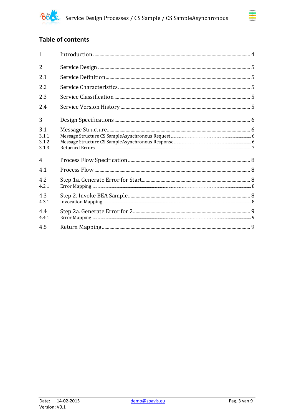# **Table of contents**

| $\mathbf{1}$                   |  |
|--------------------------------|--|
| $\overline{2}$                 |  |
| 2.1                            |  |
| 2.2                            |  |
| 2.3                            |  |
| 2.4                            |  |
| 3                              |  |
| 3.1<br>3.1.1<br>3.1.2<br>3.1.3 |  |
| $\overline{4}$                 |  |
| 4.1                            |  |
| 4.2<br>4.2.1                   |  |
| 4.3<br>4.3.1                   |  |
| 4.4<br>4.4.1                   |  |
| 4.5                            |  |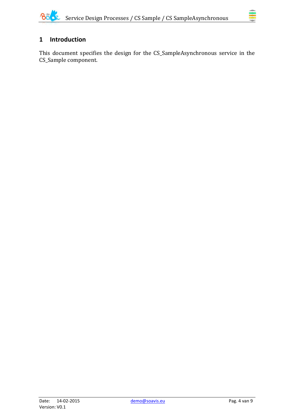

# <span id="page-3-0"></span>**1 Introduction**

This document specifies the design for the CS\_SampleAsynchronous service in the CS\_Sample component.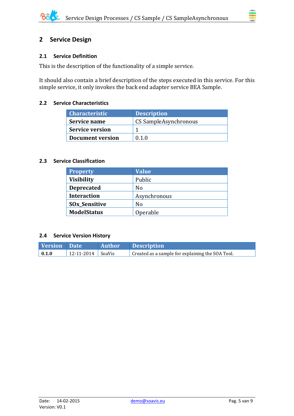### <span id="page-4-0"></span>**2 Service Design**

#### <span id="page-4-1"></span>**2.1 Service Definition**

This is the description of the functionality of a simple service.

It should also contain a brief description of the steps executed in this service. For this simple service, it only invokes the back end adapter service BEA Sample.

#### <span id="page-4-2"></span>**2.2 Service Characteristics**

| <b>Characteristic</b>  | <b>Description</b>    |
|------------------------|-----------------------|
| Service name           | CS SampleAsynchronous |
| <b>Service version</b> |                       |
| Document version       | 0 1 0                 |

#### <span id="page-4-3"></span>**2.3 Service Classification**

| <b>Property</b>                 | <b>Value</b> |
|---------------------------------|--------------|
| <b>Visibility</b>               | Public       |
| <b>Deprecated</b>               | No           |
| <b>Interaction</b>              | Asynchronous |
| <b>SO<sub>x</sub>_Sensitive</b> | No           |
| <b>ModelStatus</b>              | Operable     |

#### <span id="page-4-4"></span>**2.4 Service Version History**

| Version Date        |                       | Author Description                               |
|---------------------|-----------------------|--------------------------------------------------|
| $\vert 0.1.0 \vert$ | $12-11-2014$   SoaVis | Created as a sample for explaining the SOA Tool. |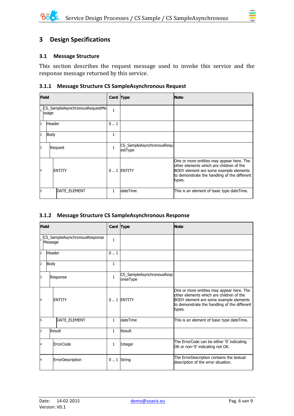# <span id="page-5-0"></span>**3 Design Specifications**

#### <span id="page-5-1"></span>**3.1 Message Structure**

This section describes the request message used to invoke this service and the response message returned by this service.

#### <span id="page-5-2"></span>**3.1.1 Message Structure CS SampleAsynchronous Request**

|              | <b>Field</b>                            |                     | Card Type |                                      | <b>Note</b>                                                                                                                                                                               |
|--------------|-----------------------------------------|---------------------|-----------|--------------------------------------|-------------------------------------------------------------------------------------------------------------------------------------------------------------------------------------------|
|              | CS_SampleAsynchronousRequestMe<br>ssage |                     | 1         |                                      |                                                                                                                                                                                           |
| 2            | <b>Header</b>                           |                     | 0.1       |                                      |                                                                                                                                                                                           |
| 2            | Body                                    |                     | 1         |                                      |                                                                                                                                                                                           |
| 3            |                                         | Request             |           | CS_SampleAsynchronousRequ<br>estType |                                                                                                                                                                                           |
| <sup>4</sup> |                                         | <b>ENTITY</b>       |           | $0.1$ ENTITY                         | One or more entities may appear here. The<br>other elements which are children of the<br>BODY element are some example elements<br>to demonstrate the handling of the different<br>types. |
| 5            |                                         | <b>DATE ELEMENT</b> | 1.        | <b>dateTime</b>                      | This is an element of basic type dateTime.                                                                                                                                                |

#### <span id="page-5-3"></span>**3.1.2 Message Structure CS SampleAsynchronous Response**

| <b>Field</b>                             |               | Card Type        |              | <b>Note</b>                           |                                                                                                                                                                                           |
|------------------------------------------|---------------|------------------|--------------|---------------------------------------|-------------------------------------------------------------------------------------------------------------------------------------------------------------------------------------------|
| CS_SampleAsynchronousResponse<br>Message |               | $\mathbf{1}$     |              |                                       |                                                                                                                                                                                           |
| $\overline{2}$                           | <b>Header</b> |                  | 01           |                                       |                                                                                                                                                                                           |
| $\overline{2}$                           | Body          |                  | $\mathbf{1}$ |                                       |                                                                                                                                                                                           |
| 3                                        |               | Response         | $\mathbf{1}$ | CS_SampleAsynchronousResp<br>onseType |                                                                                                                                                                                           |
| 4                                        |               | <b>ENTITY</b>    |              | $0.1$ ENTITY                          | One or more entities may appear here. The<br>other elements which are children of the<br>BODY element are some example elements<br>to demonstrate the handling of the different<br>types. |
| l5                                       |               | DATE_ELEMENT     | $\mathbf{1}$ | dateTime                              | This is an element of basic type dateTime.                                                                                                                                                |
| 3                                        |               | Result           | $\mathbf{1}$ | Result                                |                                                                                                                                                                                           |
| 4                                        |               | <b>ErrorCode</b> | 1            | Integer                               | The ErrorCode can be either '0' indicating<br>OK or non-'0' indicating not OK.                                                                                                            |
| 4                                        |               | ErrorDescription |              | $0.1$ String                          | The ErrorDescription contains the textual<br>description of the error situation.                                                                                                          |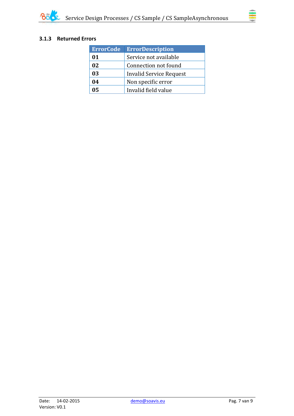

#### <span id="page-6-0"></span>**3.1.3 Returned Errors**

| <b>ErrorCode</b> | <b>ErrorDescription</b> |
|------------------|-------------------------|
| 01               | Service not available   |
| 02               | Connection not found    |
| 03               | Invalid Service Request |
| 04               | Non specific error      |
| 05               | Invalid field value     |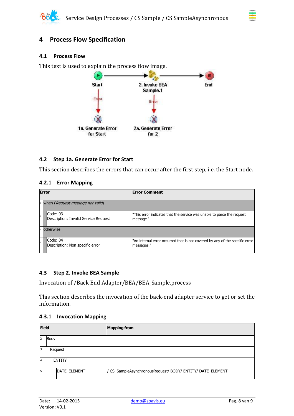# <span id="page-7-0"></span>**4 Process Flow Specification**

#### <span id="page-7-1"></span>**4.1 Process Flow**

This text is used to explain the process flow image.



#### <span id="page-7-2"></span>**4.2 Step 1a. Generate Error for Start**

This section describes the errors that can occur after the first step, i.e. the Start node.

#### <span id="page-7-3"></span>**4.2.1 Error Mapping**

| <b>Error</b> |                                                  | <b>Error Comment</b>                                                                       |  |  |
|--------------|--------------------------------------------------|--------------------------------------------------------------------------------------------|--|--|
|              | when (Request message not valid)                 |                                                                                            |  |  |
|              | Code: 03<br>Description: Invalid Service Request | "This error indicates that the service was unable to parse the request<br>message."        |  |  |
|              | lotherwise                                       |                                                                                            |  |  |
|              | Code: 04<br>Description: Non specific error      | "An internal error occurred that is not covered by any of the specific error<br>messages." |  |  |

#### <span id="page-7-4"></span>**4.3 Step 2. Invoke BEA Sample**

Invocation of /Back End Adapter/BEA/BEA\_Sample.process

This section describes the invocation of the back-end adapter service to get or set the information.

#### <span id="page-7-5"></span>**4.3.1 Invocation Mapping**

| <b>Field</b>   |               | <b>Mapping from</b>                                        |
|----------------|---------------|------------------------------------------------------------|
| Body<br>2      |               |                                                            |
| 3              | Request       |                                                            |
| $\overline{A}$ | <b>ENTITY</b> |                                                            |
| 5              | DATE_ELEMENT  | / CS_SampleAsynchronousRequest/ BODY/ ENTITY/ DATE_ELEMENT |